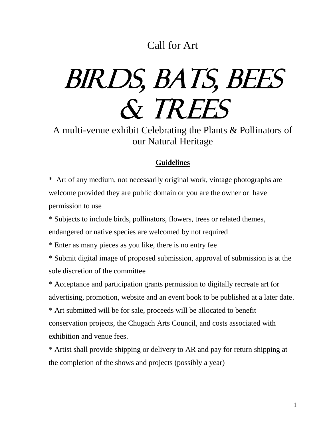## Call for Art

## BIRDS, BATS, BEES & TREES

A multi-venue exhibit Celebrating the Plants & Pollinators of our Natural Heritage

## **Guidelines**

\* Art of any medium, not necessarily original work, vintage photographs are welcome provided they are public domain or you are the owner or have permission to use

\* Subjects to include birds, pollinators, flowers, trees or related themes, endangered or native species are welcomed by not required

\* Enter as many pieces as you like, there is no entry fee

\* Submit digital image of proposed submission, approval of submission is at the sole discretion of the committee

\* Acceptance and participation grants permission to digitally recreate art for advertising, promotion, website and an event book to be published at a later date. \* Art submitted will be for sale, proceeds will be allocated to benefit conservation projects, the Chugach Arts Council, and costs associated with exhibition and venue fees.

\* Artist shall provide shipping or delivery to AR and pay for return shipping at the completion of the shows and projects (possibly a year)